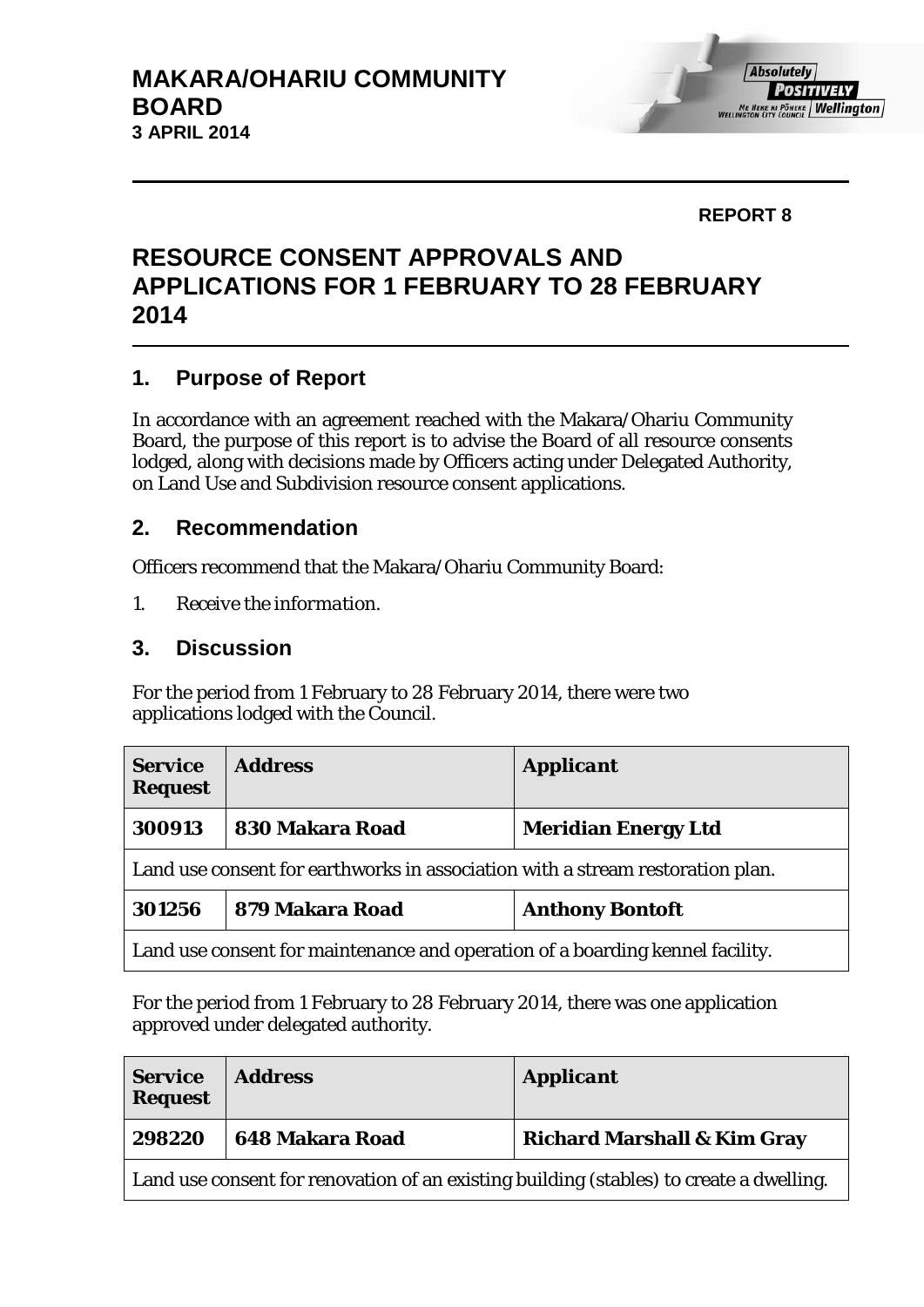#### **REPORT 8**

# **RESOURCE CONSENT APPROVALS AND APPLICATIONS FOR 1 FEBRUARY TO 28 FEBRUARY 2014**

## **1. Purpose of Report**

In accordance with an agreement reached with the Makara/Ohariu Community Board, the purpose of this report is to advise the Board of all resource consents lodged, along with decisions made by Officers acting under Delegated Authority, on Land Use and Subdivision resource consent applications.

### **2. Recommendation**

Officers recommend that the Makara/Ohariu Community Board:

*1. Receive the information.*

#### **3. Discussion**

For the period from 1 February to 28 February 2014, there were two applications lodged with the Council.

| <b>Service</b><br><b>Request</b>                                               | <b>Address</b>  | <b>Applicant</b>           |
|--------------------------------------------------------------------------------|-----------------|----------------------------|
| 300913                                                                         | 830 Makara Road | <b>Meridian Energy Ltd</b> |
| Land use consent for earthworks in association with a stream restoration plan. |                 |                            |
| 301256                                                                         | 879 Makara Road | <b>Anthony Bontoft</b>     |
| Land use consent for maintenance and operation of a boarding kennel facility.  |                 |                            |

For the period from 1 February to 28 February 2014, there was one application approved under delegated authority.

| <b>Service</b><br><b>Request</b>                                                        | <b>Address</b>  | <b>Applicant</b>                       |  |
|-----------------------------------------------------------------------------------------|-----------------|----------------------------------------|--|
| 298220                                                                                  | 648 Makara Road | <b>Richard Marshall &amp; Kim Gray</b> |  |
| Land use consent for renovation of an existing building (stables) to create a dwelling. |                 |                                        |  |